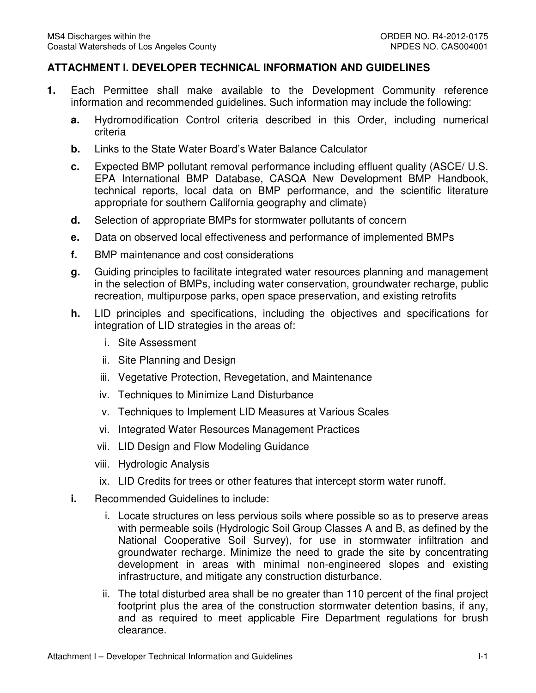## **ATTACHMENT I. DEVELOPER TECHNICAL INFORMATION AND GUIDELINES**

- **1.** Each Permittee shall make available to the Development Community reference information and recommended guidelines. Such information may include the following:
	- **a.** Hydromodification Control criteria described in this Order, including numerical criteria
	- **b.** Links to the State Water Board's Water Balance Calculator
	- **c.** Expected BMP pollutant removal performance including effluent quality (ASCE/ U.S. EPA International BMP Database, CASQA New Development BMP Handbook, technical reports, local data on BMP performance, and the scientific literature appropriate for southern California geography and climate)
	- **d.** Selection of appropriate BMPs for stormwater pollutants of concern
	- **e.** Data on observed local effectiveness and performance of implemented BMPs
	- **f.** BMP maintenance and cost considerations
	- **g.** Guiding principles to facilitate integrated water resources planning and management in the selection of BMPs, including water conservation, groundwater recharge, public recreation, multipurpose parks, open space preservation, and existing retrofits
	- **h.** LID principles and specifications, including the objectives and specifications for integration of LID strategies in the areas of:
		- i. Site Assessment
		- ii. Site Planning and Design
		- iii. Vegetative Protection, Revegetation, and Maintenance
		- iv. Techniques to Minimize Land Disturbance
		- v. Techniques to Implement LID Measures at Various Scales
		- vi. Integrated Water Resources Management Practices
		- vii. LID Design and Flow Modeling Guidance
		- viii. Hydrologic Analysis
		- ix. LID Credits for trees or other features that intercept storm water runoff.
	- **i.** Recommended Guidelines to include:
		- i. Locate structures on less pervious soils where possible so as to preserve areas with permeable soils (Hydrologic Soil Group Classes A and B, as defined by the National Cooperative Soil Survey), for use in stormwater infiltration and groundwater recharge. Minimize the need to grade the site by concentrating development in areas with minimal non-engineered slopes and existing infrastructure, and mitigate any construction disturbance.
- clearance.<br>Attachment I Developer Technical Information and Guidelines I-1 ii. The total disturbed area shall be no greater than 110 percent of the final project footprint plus the area of the construction stormwater detention basins, if any, and as required to meet applicable Fire Department regulations for brush clearance.